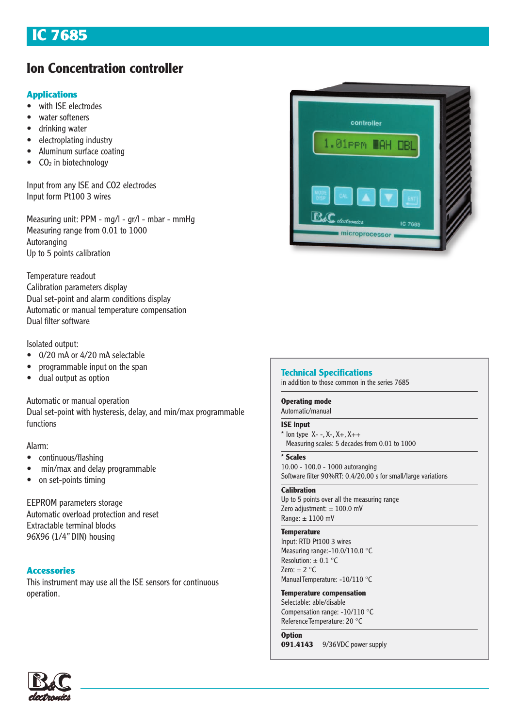# IC 7685

# **Ion Concentration controller**

## **Applications**

- with ISE electrodes
- water softeners
- drinking water
- electroplating industry
- Aluminum surface coating
- $\bullet$  CO<sub>2</sub> in biotechnology

Input from any ISE and CO2 electrodes Input form Pt100 3 wires

Measuring unit: PPM - mg/l - gr/l - mbar - mmHg Measuring range from 0.01 to 1000 Autoranging Up to 5 points calibration

Temperature readout Calibration parameters display Dual set-point and alarm conditions display Automatic or manual temperature compensation Dual filter software

## Isolated output:

- 0/20 mA or 4/20 mA selectable
- programmable input on the span
- dual output as option

Automatic or manual operation

Dual set-point with hysteresis, delay, and min/max programmable functions

### Alarm:

- continuous/flashing
- min/max and delay programmable
- on set-points timing

EEPROM parameters storage Automatic overload protection and reset Extractable terminal blocks 96X96 (1/4" DIN) housing

## Accessories

This instrument may use all the ISE sensors for continuous operation.



### **Technical Specifications**

in addition to those common in the series 7685

### **Operating mode**

Automatic/manual

#### **ISE input**

 $*$  Ion type  $X- -$ ,  $X-$ ,  $X+$ ,  $X++$ Measuring scales: 5 decades from 0.01 to 1000

#### **\* Scales**

10.00 - 100.0 - 1000 autoranging Software filter 90%RT: 0.4/20.00 s for small/large variations

#### **Calibration**

Up to 5 points over all the measuring range Zero adjustment:  $\pm$  100.0 mV Range:  $\pm$  1100 mV

#### **Temperature**

Input: RTD Pt100 3 wires Measuring range:-10.0/110.0 °C Resolution:  $\pm$  0.1 °C Zero:  $\pm 2$  °C Manual Temperature: -10/110 °C

#### **Temperature compensation** Selectable: able/disable

Compensation range: -10/110 °C Reference Temperature: 20 °C

#### **Option**

**091.4143** 9/36 VDC power supply

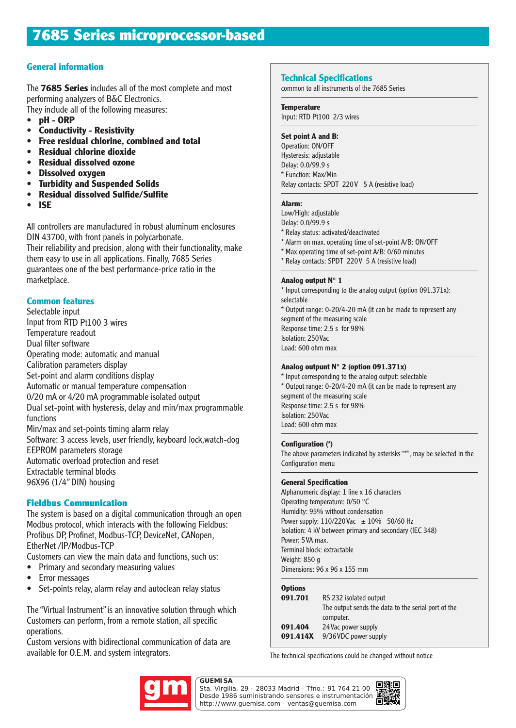## **General information**

The **7685 Series** includes all of the most complete and most performing analyzers of B&C Electronics. They include all of the following measures:

- **pH ORP**
- **Conductivity Resistivity**
- **Free residual chlorine, combined and total**
- **Residual chlorine dioxide**
- **Residual dissolved ozone**
- **Dissolved oxygen**
- **Turbidity and Suspended Solids**
- **Residual dissolved Sulfide/Sulfite**
- **ISE**

All controllers are manufactured in robust aluminum enclosures DIN 43700, with front panels in polycarbonate. Their reliability and precision, along with their functionality, make them easy to use in all applications. Finally, 7685 Series guarantees one of the best performance-price ratio in the marketplace.

## **Common features**

Selectable input Input from RTD Pt100 3 wires Temperature readout Dual filter software Operating mode: automatic and manual Calibration parameters display Set-point and alarm conditions display Automatic or manual temperature compensation 0/20 mA or 4/20 mA programmable isolated output Dual set-point with hysteresis, delay and min/max programmable functions Min/max and set-points timing alarm relay Software: 3 access levels, user friendly, keyboard lock,watch-dog EEPROM parameters storage Automatic overload protection and reset Extractable terminal blocks 96X96 (1/4" DIN) housing

## Fieldbus Communication

The system is based on a digital communication through an open Modbus protocol, which interacts with the following Fieldbus: Profibus DP, Profinet, Modbus-TCP, DeviceNet, CANopen, EtherNet /IP/Modbus-TCP

Customers can view the main data and functions, such us:

- Primary and secondary measuring values
- Error messages
- Set-points relay, alarm relay and autoclean relay status

The "Virtual Instrument" is an innovative solution through which Customers can perform, from a remote station, all specific operations.

Custom versions with bidirectional communication of data are available for O.E.M. and system integrators.

#### **Technical Specifications**

common to all instruments of the 7685 Series

**Temperature**

Input: RTD Pt100 2/3 wires

#### **Set point A and B:**

Operation: ON/OFF Hysteresis: adjustable Delay: 0.0/99.9 s \* Function: Max/Min Relay contacts: SPDT 220V 5 A (resistive load)

#### **Alarm:**

Low/High: adjustable Delay: 0.0/99.9 s \* Relay status: activated/deactivated \* Alarm on max. operating time of set-point A/B: ON/OFF \* Max operating time of set-point A/B: 0/60 minutes \* Relay contacts: SPDT 220 V 5 A (resistive load)

#### **Analog output N° 1**

\* Input corresponding to the analog output (option 091.371x): selectable \* Output range: 0-20/4-20 mA (it can be made to represent any segment of the measuring scale Response time: 2.5 s for 98% Isolation: 250 Vac Load: 600 ohm max

### **Analog outpunt N° 2 (option 091.371x)**

\* Input corresponding to the analog output: selectable \* Output range: 0-20/4-20 mA (it can be made to represent any segment of the measuring scale Response time: 2.5 s for 98% Isolation: 250 Vac Load: 600 ohm max

#### **Configuration (\*)**

The above parameters indicated by asterisks "\*", may be selected in the Configuration menu

#### **General Specification**

Alphanumeric display: 1 line x 16 characters Operating temperature: 0/50 °C Humidity: 95% without condensation Power supply:  $110/220$  Vac  $\pm 10\%$  50/60 Hz Isolation: 4 kV between primary and secondary (IEC 348) Power: 5 VA max. Terminal block: extractable Weight: 850 g Dimensions: 96 x 96 x 155 mm

#### **Options**

| 091.701  | RS 232 isolated output                              |
|----------|-----------------------------------------------------|
|          | The output sends the data to the serial port of the |
|          | computer.                                           |
| 091.404  | 24 Vac power supply                                 |
| 091.414X | 9/36 VDC power supply                               |
|          |                                                     |

The technical specifications could be changed without notice



Sta. Virgilia, 29 - 28033 Madrid - Tfno.: 91 764 21 00 Desde 1986 suministrando sensores e instrumentación. http://www.guemisa.com - ventas@guemisa.com

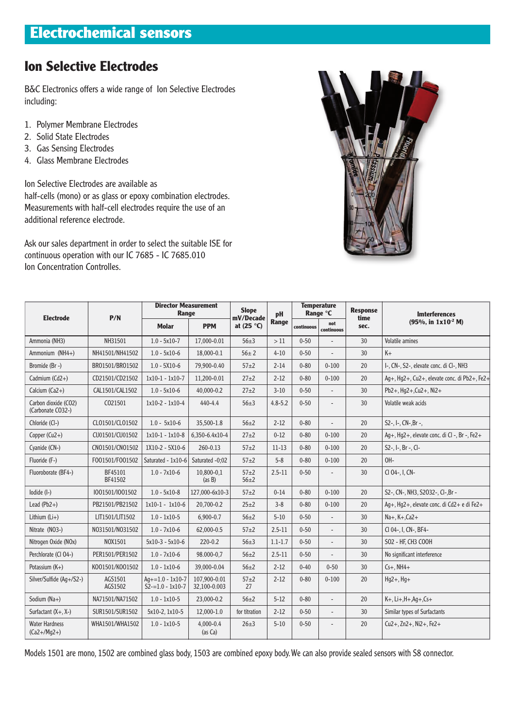# **Ion Selective Electrodes**

B&C Electronics offers a wide range of Ion Selective Electrodes including:

- 1. Polymer Membrane Electrodes
- 2. Solid State Electrodes
- 3. Gas Sensing Electrodes
- 4. Glass Membrane Electrodes

Ion Selective Electrodes are available as half-cells (mono) or as glass or epoxy combination electrodes. Measurements with half-cell electrodes require the use of an additional reference electrode.

Ask our sales department in order to select the suitable ISE for continuous operation with our IC 7685 - IC 7685.010 Ion Concentration Controlles.



| <b>Electrode</b>                          | P/N                | <b>Director Measurement</b><br><b>Range</b> |                              | <b>Slope</b><br>mV/Decade | pH          | <b>Temperature</b><br>Range °C |                   | <b>Response</b><br>time | <b>Imterferences</b>                         |
|-------------------------------------------|--------------------|---------------------------------------------|------------------------------|---------------------------|-------------|--------------------------------|-------------------|-------------------------|----------------------------------------------|
|                                           |                    | <b>Molar</b>                                | <b>PPM</b>                   | at $(25 °C)$              | Range       | continuous                     | not<br>continuous | sec.                    | $(95\% , in 1x10^{-2} M)$                    |
| Ammonia (NH3)                             | NH31501            | $1.0 - 5x10 - 7$                            | 17,000-0.01                  | $56 + 3$                  | >11         | $0 - 50$                       |                   | 30                      | <b>Volatile amines</b>                       |
| Ammonium (NH4+)                           | NH41501/NH41502    | $1.0 - 5x10-6$                              | 18,000-0.1                   | $56 \pm 2$                | $4 - 10$    | $0 - 50$                       |                   | 30                      | $K +$                                        |
| Bromide (Br -)                            | BR01501/BR01502    | $1.0 - 5X10-6$                              | 79.900-0.40                  | $57 + 2$                  | $2 - 14$    | $0 - 80$                       | $0 - 100$         | 20                      | I-, CN-, S2-, elevate conc. di CI-, NH3      |
| Cadmium $(Cd2+)$                          | CD21501/CD21502    | $1x10-1 - 1x10-7$                           | 11,200-0.01                  | $27 + 2$                  | $2 - 12$    | $0 - 80$                       | $0 - 100$         | 20                      | Aq+, Hq2+, Cu2+, elevate conc. di Pb2+, Fe2+ |
| Calcium $(Ca2+)$                          | CAL1501/CAL1502    | $1.0 - 5x10-6$                              | 40,000-0.2                   | $27 + 2$                  | $3 - 10$    | $0 - 50$                       |                   | 30                      | $Pb2+$ , Hq2+, Cu2+, Ni2+                    |
| Carbon dioxide (CO2)<br>(Carbonate CO32-) | C021501            | $1x10-2 - 1x10-4$                           | 440-4.4                      | $56 + 3$                  | $4.8 - 5.2$ | $0 - 50$                       | $\overline{a}$    | 30                      | Volatile weak acids                          |
| Chloride (Cl-)                            | CL01501/CL01502    | $1.0 - 5x10-6$                              | 35,500-1.8                   | $56 + 2$                  | $2 - 12$    | $0 - 80$                       |                   | 20                      | S2-, I-, CN-, Br-,                           |
| Copper $(Cu2+)$                           | CU01501/CU01502    | $1x10-1 - 1x10-8$                           | 6.350-6.4x10-4               | $27+2$                    | $0 - 12$    | $0 - 80$                       | $0 - 100$         | 20                      | Aq+, Hq2+, elevate conc. di Cl -, Br -, Fe2+ |
| Cyanide (CN-)                             | CN01501/CN01502    | 1X10-2 - 5X10-6                             | 260-0.13                     | $57 + 2$                  | $11 - 13$   | $0 - 80$                       | $0 - 100$         | 20                      | $S2-$ , I-, Br -, CI-                        |
| Fluoride (F-)                             | F001501/F001502    | Saturated - 1x10-6                          | Saturated -0;02              | $57 + 2$                  | $5 - 8$     | $0 - 80$                       | $0 - 100$         | 20                      | OH-                                          |
| Fluoroborate (BF4-)                       | BF45101<br>BF41502 | $1.0 - 7x10-6$                              | 10,800-0,1<br>(as B)         | $57 + 2$<br>$56 + 2$      | $2.5 - 11$  | $0 - 50$                       |                   | 30                      | CI 04-, I, CN-                               |
| lodide (I-)                               | 1001501/1001502    | $1.0 - 5x10-8$                              | 127,000-6x10-3               | $57+2$                    | $0 - 14$    | $0 - 80$                       | $0 - 100$         | 20                      | S2-, CN-, NH3, S2032-, Cl-, Br -             |
| Lead $(Pb2+)$                             | PB21501/PB21502    | $1x10-1 - 1x10-6$                           | 20,700-0.2                   | $25 + 2$                  | $3 - 8$     | $0 - 80$                       | $0 - 100$         | 20                      | Aq+, Hq2+, elevate conc. di Cd2+ e di Fe2+   |
| Lithium $(Li+)$                           | LIT1501/LIT1502    | $1.0 - 1x10 - 5$                            | $6,900 - 0.7$                | $56 + 2$                  | $5 - 10$    | $0 - 50$                       | $\overline{a}$    | 30                      | $Na+, K+, Ca2+$                              |
| Nitrate (NO3-)                            | N031501/N031502    | $1.0 - 7x10-6$                              | 62.000-0.5                   | $57 + 2$                  | $2.5 - 11$  | $0 - 50$                       | $\overline{a}$    | 30                      | CI 04-. I. CN-. BF4-                         |
| Nitrogen Oxide (NOx)                      | NOX1501            | $5x10-3 - 5x10-6$                           | $220 - 0.2$                  | $56 + 3$                  | $1.1 - 1.7$ | $0 - 50$                       | $\overline{a}$    | 30                      | SO2 - HF, CH3 COOH                           |
| Perchlorate (Cl O4-)                      | PER1501/PER1502    | $1.0 - 7x10-6$                              | 98.000-0,7                   | $56 + 2$                  | $2.5 - 11$  | $0 - 50$                       |                   | 30                      | No significant interference                  |
| Potassium (K+)                            | K001501/K001502    | $1.0 - 1x10 - 6$                            | 39,000-0.04                  | $56 + 2$                  | $2 - 12$    | $0 - 40$                       | $0 - 50$          | 30                      | $Cs+$ , NH4+                                 |
| Silver/Sulfide (Ag+/S2-)                  | AGS1501<br>AGS1502 | $Aq+=1.0 - 1x10-7$<br>$S2 = 1.0 - 1x10 - 7$ | 107.900-0.01<br>32,100-0.003 | $57 + 2$<br>27            | $2 - 12$    | $0 - 80$                       | $0 - 100$         | 20                      | $Hg2+, Hg+$                                  |
| Sodium (Na+)                              | NA71501/NA71502    | $1.0 - 1x10 - 5$                            | 23,000-0.2                   | $56 + 2$                  | $5 - 12$    | $0 - 80$                       |                   | 20                      | $K+$ , Li+, H+, Aq +, Cs+                    |
| Surfactant $(X+, X-)$                     | SUR1501/SUR1502    | 5x10-2, 1x10-5                              | 12,000-1.0                   | for titration             | $2 - 12$    | $0 - 50$                       | $\overline{a}$    | 30                      | Similar types of Surfactants                 |
| <b>Water Hardness</b><br>$(Ca2 + /Mq2+)$  | WHA1501/WHA1502    | $1.0 - 1x10 - 5$                            | $4.000 - 0.4$<br>(as Ca)     | $26 + 3$                  | $5 - 10$    | $0 - 50$                       |                   | 20                      | $Cu2+, Zn2+, Ni2+, Fe2+$                     |

Models 1501 are mono, 1502 are combined glass body, 1503 are combined epoxy body. We can also provide sealed sensors with S8 connector.